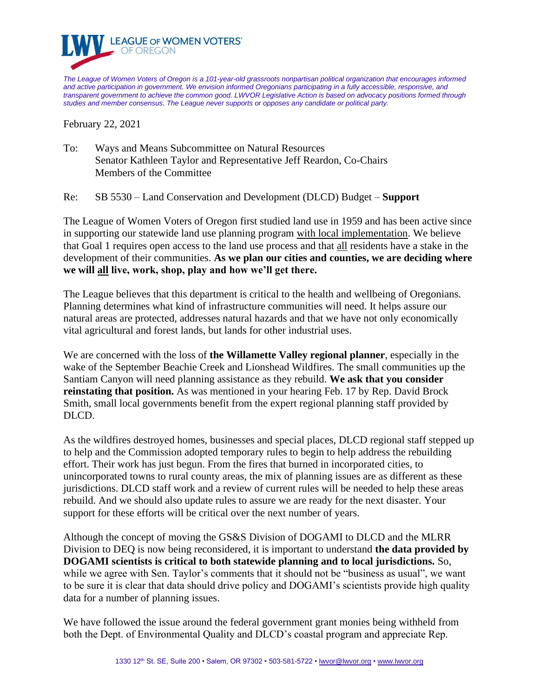

*The League of Women Voters of Oregon is a 101-year-old grassroots nonpartisan political organization that encourages informed and active participation in government. We envision informed Oregonians participating in a fully accessible, responsive, and transparent government to achieve the common good. LWVOR Legislative Action is based on advocacy positions formed through studies and member consensus. The League never supports or opposes any candidate or political party.*

February 22, 2021

To: Ways and Means Subcommittee on Natural Resources Senator Kathleen Taylor and Representative Jeff Reardon, Co-Chairs Members of the Committee

Re: SB 5530 – Land Conservation and Development (DLCD) Budget – **Support**

The League of Women Voters of Oregon first studied land use in 1959 and has been active since in supporting our statewide land use planning program with local implementation. We believe that Goal 1 requires open access to the land use process and that all residents have a stake in the development of their communities. **As we plan our cities and counties, we are deciding where we will all live, work, shop, play and how we'll get there.** 

The League believes that this department is critical to the health and wellbeing of Oregonians. Planning determines what kind of infrastructure communities will need. It helps assure our natural areas are protected, addresses natural hazards and that we have not only economically vital agricultural and forest lands, but lands for other industrial uses.

We are concerned with the loss of **the Willamette Valley regional planner**, especially in the wake of the September Beachie Creek and Lionshead Wildfires. The small communities up the Santiam Canyon will need planning assistance as they rebuild. **We ask that you consider reinstating that position.** As was mentioned in your hearing Feb. 17 by Rep. David Brock Smith, small local governments benefit from the expert regional planning staff provided by DLCD.

As the wildfires destroyed homes, businesses and special places, DLCD regional staff stepped up to help and the Commission adopted temporary rules to begin to help address the rebuilding effort. Their work has just begun. From the fires that burned in incorporated cities, to unincorporated towns to rural county areas, the mix of planning issues are as different as these jurisdictions. DLCD staff work and a review of current rules will be needed to help these areas rebuild. And we should also update rules to assure we are ready for the next disaster. Your support for these efforts will be critical over the next number of years.

Although the concept of moving the GS&S Division of DOGAMI to DLCD and the MLRR Division to DEQ is now being reconsidered, it is important to understand **the data provided by DOGAMI scientists is critical to both statewide planning and to local jurisdictions.** So, while we agree with Sen. Taylor's comments that it should not be "business as usual", we want to be sure it is clear that data should drive policy and DOGAMI's scientists provide high quality data for a number of planning issues.

We have followed the issue around the federal government grant monies being withheld from both the Dept. of Environmental Quality and DLCD's coastal program and appreciate Rep.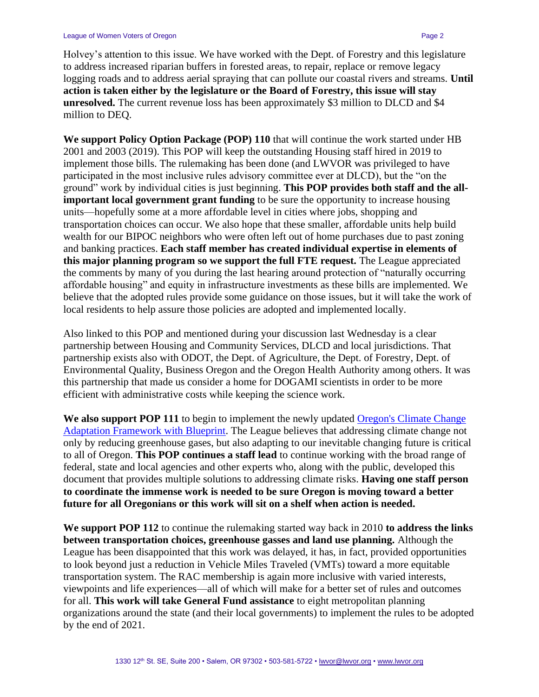Holvey's attention to this issue. We have worked with the Dept. of Forestry and this legislature to address increased riparian buffers in forested areas, to repair, replace or remove legacy logging roads and to address aerial spraying that can pollute our coastal rivers and streams. **Until action is taken either by the legislature or the Board of Forestry, this issue will stay unresolved.** The current revenue loss has been approximately \$3 million to DLCD and \$4 million to DEQ.

**We support Policy Option Package (POP) 110** that will continue the work started under HB 2001 and 2003 (2019). This POP will keep the outstanding Housing staff hired in 2019 to implement those bills. The rulemaking has been done (and LWVOR was privileged to have participated in the most inclusive rules advisory committee ever at DLCD), but the "on the ground" work by individual cities is just beginning. **This POP provides both staff and the allimportant local government grant funding** to be sure the opportunity to increase housing units—hopefully some at a more affordable level in cities where jobs, shopping and transportation choices can occur. We also hope that these smaller, affordable units help build wealth for our BIPOC neighbors who were often left out of home purchases due to past zoning and banking practices. **Each staff member has created individual expertise in elements of this major planning program so we support the full FTE request.** The League appreciated the comments by many of you during the last hearing around protection of "naturally occurring affordable housing" and equity in infrastructure investments as these bills are implemented. We believe that the adopted rules provide some guidance on those issues, but it will take the work of local residents to help assure those policies are adopted and implemented locally.

Also linked to this POP and mentioned during your discussion last Wednesday is a clear partnership between Housing and Community Services, DLCD and local jurisdictions. That partnership exists also with ODOT, the Dept. of Agriculture, the Dept. of Forestry, Dept. of Environmental Quality, Business Oregon and the Oregon Health Authority among others. It was this partnership that made us consider a home for DOGAMI scientists in order to be more efficient with administrative costs while keeping the science work.

**We also support POP 111** to begin to implement the newly updated [Oregon's Climate Change](https://www.oregon.gov/lcd/CL/Documents/2021_Climate_Change_Adaptation_Framework_with_Blueprint.pdf)  [Adaptation Framework with Blueprint.](https://www.oregon.gov/lcd/CL/Documents/2021_Climate_Change_Adaptation_Framework_with_Blueprint.pdf) The League believes that addressing climate change not only by reducing greenhouse gases, but also adapting to our inevitable changing future is critical to all of Oregon. **This POP continues a staff lead** to continue working with the broad range of federal, state and local agencies and other experts who, along with the public, developed this document that provides multiple solutions to addressing climate risks. **Having one staff person to coordinate the immense work is needed to be sure Oregon is moving toward a better future for all Oregonians or this work will sit on a shelf when action is needed.**

**We support POP 112** to continue the rulemaking started way back in 2010 **to address the links between transportation choices, greenhouse gasses and land use planning.** Although the League has been disappointed that this work was delayed, it has, in fact, provided opportunities to look beyond just a reduction in Vehicle Miles Traveled (VMTs) toward a more equitable transportation system. The RAC membership is again more inclusive with varied interests, viewpoints and life experiences—all of which will make for a better set of rules and outcomes for all. **This work will take General Fund assistance** to eight metropolitan planning organizations around the state (and their local governments) to implement the rules to be adopted by the end of 2021.